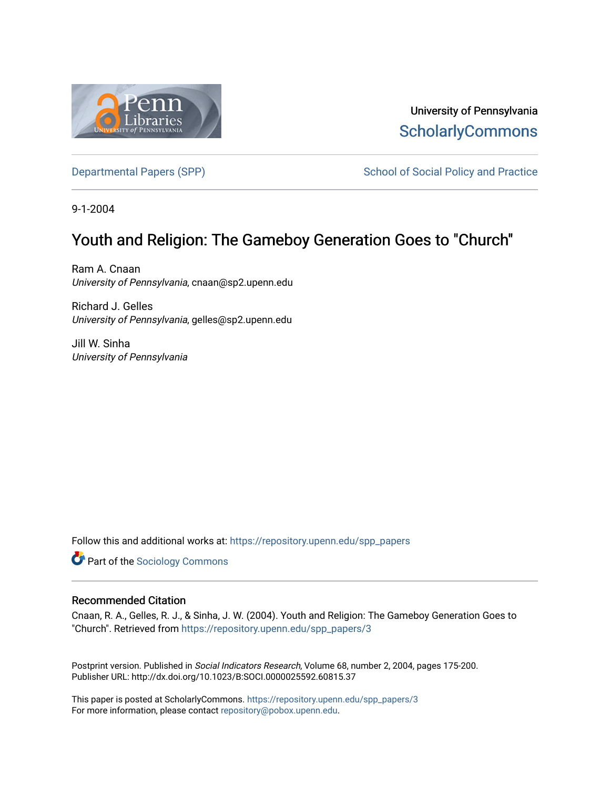

University of Pennsylvania **ScholarlyCommons** 

[Departmental Papers \(SPP\)](https://repository.upenn.edu/spp_papers) School of Social Policy and Practice

9-1-2004

# Youth and Religion: The Gameboy Generation Goes to "Church"

Ram A. Cnaan University of Pennsylvania, cnaan@sp2.upenn.edu

Richard J. Gelles University of Pennsylvania, gelles@sp2.upenn.edu

Jill W. Sinha University of Pennsylvania

Follow this and additional works at: [https://repository.upenn.edu/spp\\_papers](https://repository.upenn.edu/spp_papers?utm_source=repository.upenn.edu%2Fspp_papers%2F3&utm_medium=PDF&utm_campaign=PDFCoverPages) 

**Part of the [Sociology Commons](http://network.bepress.com/hgg/discipline/416?utm_source=repository.upenn.edu%2Fspp_papers%2F3&utm_medium=PDF&utm_campaign=PDFCoverPages)** 

#### Recommended Citation

Cnaan, R. A., Gelles, R. J., & Sinha, J. W. (2004). Youth and Religion: The Gameboy Generation Goes to "Church". Retrieved from [https://repository.upenn.edu/spp\\_papers/3](https://repository.upenn.edu/spp_papers/3?utm_source=repository.upenn.edu%2Fspp_papers%2F3&utm_medium=PDF&utm_campaign=PDFCoverPages) 

Postprint version. Published in Social Indicators Research, Volume 68, number 2, 2004, pages 175-200. Publisher URL: http://dx.doi.org/10.1023/B:SOCI.0000025592.60815.37

This paper is posted at ScholarlyCommons. [https://repository.upenn.edu/spp\\_papers/3](https://repository.upenn.edu/spp_papers/3)  For more information, please contact [repository@pobox.upenn.edu.](mailto:repository@pobox.upenn.edu)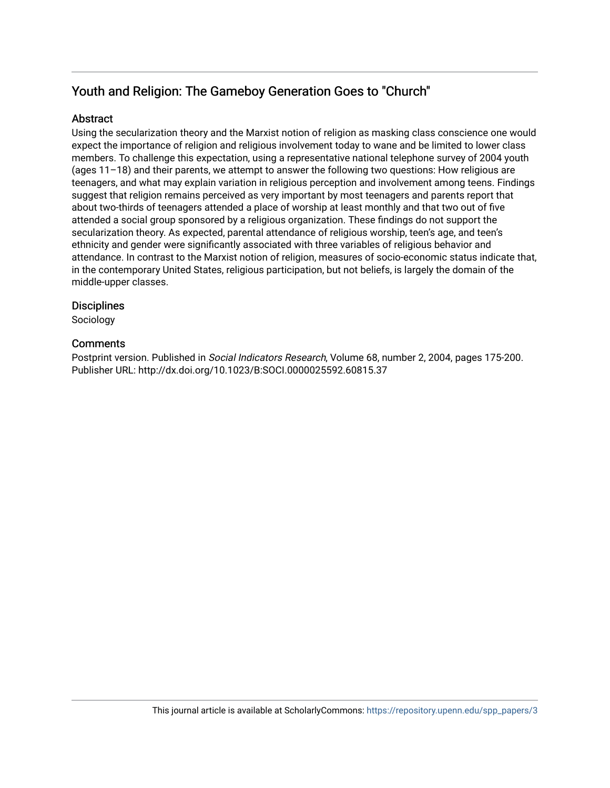# Youth and Religion: The Gameboy Generation Goes to "Church"

# **Abstract**

Using the secularization theory and the Marxist notion of religion as masking class conscience one would expect the importance of religion and religious involvement today to wane and be limited to lower class members. To challenge this expectation, using a representative national telephone survey of 2004 youth (ages 11–18) and their parents, we attempt to answer the following two questions: How religious are teenagers, and what may explain variation in religious perception and involvement among teens. Findings suggest that religion remains perceived as very important by most teenagers and parents report that about two-thirds of teenagers attended a place of worship at least monthly and that two out of five attended a social group sponsored by a religious organization. These findings do not support the secularization theory. As expected, parental attendance of religious worship, teen's age, and teen's ethnicity and gender were significantly associated with three variables of religious behavior and attendance. In contrast to the Marxist notion of religion, measures of socio-economic status indicate that, in the contemporary United States, religious participation, but not beliefs, is largely the domain of the middle-upper classes.

# **Disciplines**

Sociology

# **Comments**

Postprint version. Published in Social Indicators Research, Volume 68, number 2, 2004, pages 175-200. Publisher URL: http://dx.doi.org/10.1023/B:SOCI.0000025592.60815.37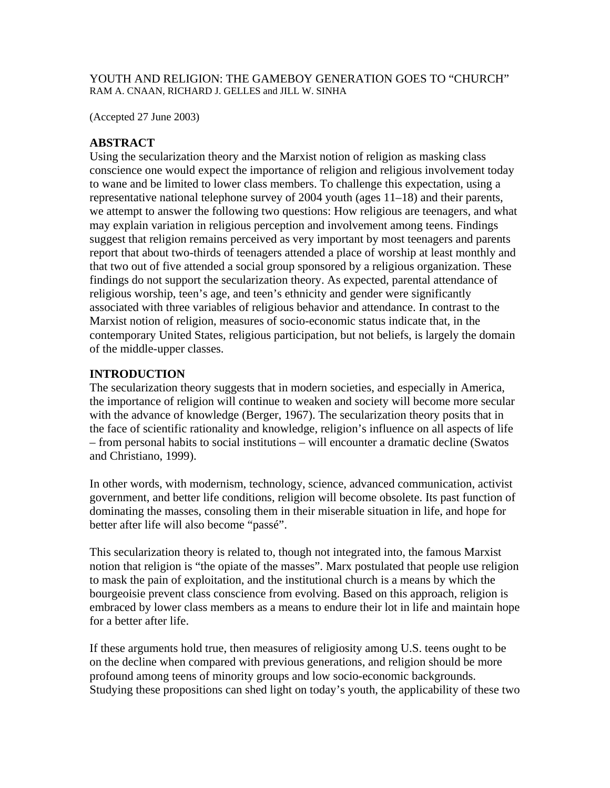YOUTH AND RELIGION: THE GAMEBOY GENERATION GOES TO "CHURCH" RAM A. CNAAN, RICHARD J. GELLES and JILL W. SINHA

(Accepted 27 June 2003)

# **ABSTRACT**

Using the secularization theory and the Marxist notion of religion as masking class conscience one would expect the importance of religion and religious involvement today to wane and be limited to lower class members. To challenge this expectation, using a representative national telephone survey of 2004 youth (ages 11–18) and their parents, we attempt to answer the following two questions: How religious are teenagers, and what may explain variation in religious perception and involvement among teens. Findings suggest that religion remains perceived as very important by most teenagers and parents report that about two-thirds of teenagers attended a place of worship at least monthly and that two out of five attended a social group sponsored by a religious organization. These findings do not support the secularization theory. As expected, parental attendance of religious worship, teen's age, and teen's ethnicity and gender were significantly associated with three variables of religious behavior and attendance. In contrast to the Marxist notion of religion, measures of socio-economic status indicate that, in the contemporary United States, religious participation, but not beliefs, is largely the domain of the middle-upper classes.

# **INTRODUCTION**

The secularization theory suggests that in modern societies, and especially in America, the importance of religion will continue to weaken and society will become more secular with the advance of knowledge (Berger, 1967). The secularization theory posits that in the face of scientific rationality and knowledge, religion's influence on all aspects of life – from personal habits to social institutions – will encounter a dramatic decline (Swatos and Christiano, 1999).

In other words, with modernism, technology, science, advanced communication, activist government, and better life conditions, religion will become obsolete. Its past function of dominating the masses, consoling them in their miserable situation in life, and hope for better after life will also become "passé".

This secularization theory is related to, though not integrated into, the famous Marxist notion that religion is "the opiate of the masses". Marx postulated that people use religion to mask the pain of exploitation, and the institutional church is a means by which the bourgeoisie prevent class conscience from evolving. Based on this approach, religion is embraced by lower class members as a means to endure their lot in life and maintain hope for a better after life.

If these arguments hold true, then measures of religiosity among U.S. teens ought to be on the decline when compared with previous generations, and religion should be more profound among teens of minority groups and low socio-economic backgrounds. Studying these propositions can shed light on today's youth, the applicability of these two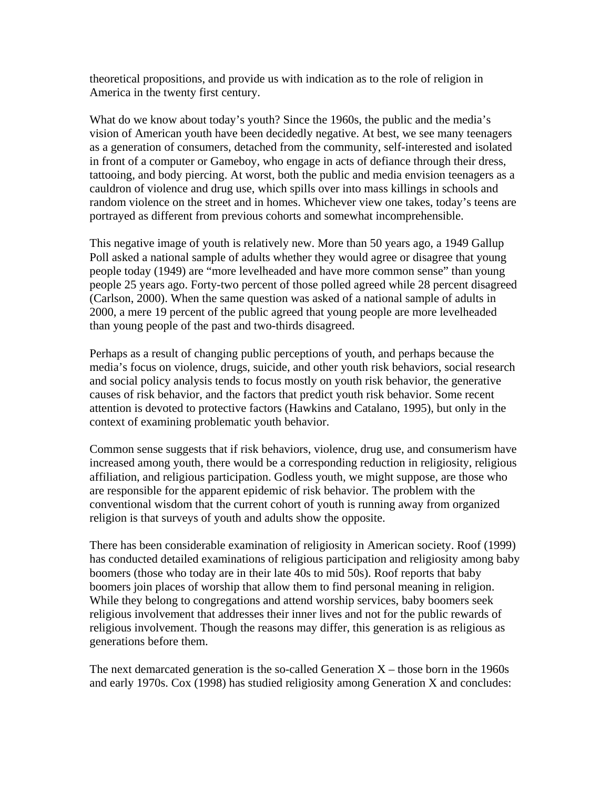theoretical propositions, and provide us with indication as to the role of religion in America in the twenty first century.

What do we know about today's youth? Since the 1960s, the public and the media's vision of American youth have been decidedly negative. At best, we see many teenagers as a generation of consumers, detached from the community, self-interested and isolated in front of a computer or Gameboy, who engage in acts of defiance through their dress, tattooing, and body piercing. At worst, both the public and media envision teenagers as a cauldron of violence and drug use, which spills over into mass killings in schools and random violence on the street and in homes. Whichever view one takes, today's teens are portrayed as different from previous cohorts and somewhat incomprehensible.

This negative image of youth is relatively new. More than 50 years ago, a 1949 Gallup Poll asked a national sample of adults whether they would agree or disagree that young people today (1949) are "more levelheaded and have more common sense" than young people 25 years ago. Forty-two percent of those polled agreed while 28 percent disagreed (Carlson, 2000). When the same question was asked of a national sample of adults in 2000, a mere 19 percent of the public agreed that young people are more levelheaded than young people of the past and two-thirds disagreed.

Perhaps as a result of changing public perceptions of youth, and perhaps because the media's focus on violence, drugs, suicide, and other youth risk behaviors, social research and social policy analysis tends to focus mostly on youth risk behavior, the generative causes of risk behavior, and the factors that predict youth risk behavior. Some recent attention is devoted to protective factors (Hawkins and Catalano, 1995), but only in the context of examining problematic youth behavior.

Common sense suggests that if risk behaviors, violence, drug use, and consumerism have increased among youth, there would be a corresponding reduction in religiosity, religious affiliation, and religious participation. Godless youth, we might suppose, are those who are responsible for the apparent epidemic of risk behavior. The problem with the conventional wisdom that the current cohort of youth is running away from organized religion is that surveys of youth and adults show the opposite.

There has been considerable examination of religiosity in American society. Roof (1999) has conducted detailed examinations of religious participation and religiosity among baby boomers (those who today are in their late 40s to mid 50s). Roof reports that baby boomers join places of worship that allow them to find personal meaning in religion. While they belong to congregations and attend worship services, baby boomers seek religious involvement that addresses their inner lives and not for the public rewards of religious involvement. Though the reasons may differ, this generation is as religious as generations before them.

The next demarcated generation is the so-called Generation  $X -$  those born in the 1960s and early 1970s. Cox (1998) has studied religiosity among Generation X and concludes: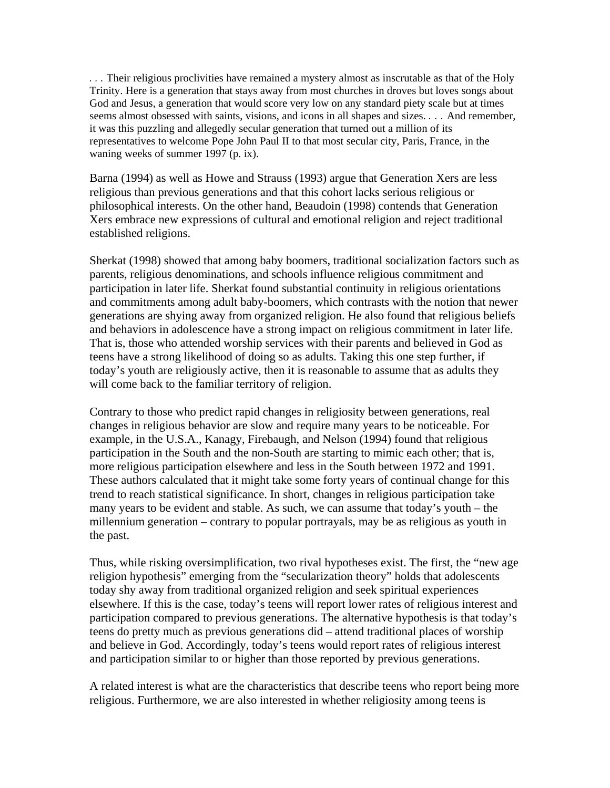*. . .* Their religious proclivities have remained a mystery almost as inscrutable as that of the Holy Trinity. Here is a generation that stays away from most churches in droves but loves songs about God and Jesus, a generation that would score very low on any standard piety scale but at times seems almost obsessed with saints, visions, and icons in all shapes and sizes. *. . .* And remember, it was this puzzling and allegedly secular generation that turned out a million of its representatives to welcome Pope John Paul II to that most secular city, Paris, France, in the waning weeks of summer 1997 (p. ix).

Barna (1994) as well as Howe and Strauss (1993) argue that Generation Xers are less religious than previous generations and that this cohort lacks serious religious or philosophical interests. On the other hand, Beaudoin (1998) contends that Generation Xers embrace new expressions of cultural and emotional religion and reject traditional established religions.

Sherkat (1998) showed that among baby boomers, traditional socialization factors such as parents, religious denominations, and schools influence religious commitment and participation in later life. Sherkat found substantial continuity in religious orientations and commitments among adult baby-boomers, which contrasts with the notion that newer generations are shying away from organized religion. He also found that religious beliefs and behaviors in adolescence have a strong impact on religious commitment in later life. That is, those who attended worship services with their parents and believed in God as teens have a strong likelihood of doing so as adults. Taking this one step further, if today's youth are religiously active, then it is reasonable to assume that as adults they will come back to the familiar territory of religion.

Contrary to those who predict rapid changes in religiosity between generations, real changes in religious behavior are slow and require many years to be noticeable. For example, in the U.S.A., Kanagy, Firebaugh, and Nelson (1994) found that religious participation in the South and the non-South are starting to mimic each other; that is, more religious participation elsewhere and less in the South between 1972 and 1991. These authors calculated that it might take some forty years of continual change for this trend to reach statistical significance. In short, changes in religious participation take many years to be evident and stable. As such, we can assume that today's youth – the millennium generation – contrary to popular portrayals, may be as religious as youth in the past.

Thus, while risking oversimplification, two rival hypotheses exist. The first, the "new age religion hypothesis" emerging from the "secularization theory" holds that adolescents today shy away from traditional organized religion and seek spiritual experiences elsewhere. If this is the case, today's teens will report lower rates of religious interest and participation compared to previous generations. The alternative hypothesis is that today's teens do pretty much as previous generations did – attend traditional places of worship and believe in God. Accordingly, today's teens would report rates of religious interest and participation similar to or higher than those reported by previous generations.

A related interest is what are the characteristics that describe teens who report being more religious. Furthermore, we are also interested in whether religiosity among teens is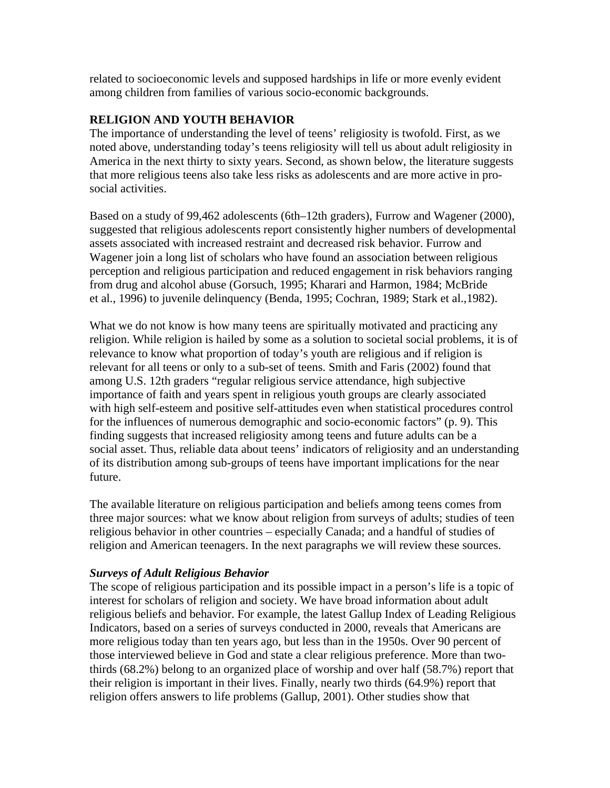related to socioeconomic levels and supposed hardships in life or more evenly evident among children from families of various socio-economic backgrounds.

# **RELIGION AND YOUTH BEHAVIOR**

The importance of understanding the level of teens' religiosity is twofold. First, as we noted above, understanding today's teens religiosity will tell us about adult religiosity in America in the next thirty to sixty years. Second, as shown below, the literature suggests that more religious teens also take less risks as adolescents and are more active in prosocial activities.

Based on a study of 99,462 adolescents (6th–12th graders), Furrow and Wagener (2000), suggested that religious adolescents report consistently higher numbers of developmental assets associated with increased restraint and decreased risk behavior. Furrow and Wagener join a long list of scholars who have found an association between religious perception and religious participation and reduced engagement in risk behaviors ranging from drug and alcohol abuse (Gorsuch, 1995; Kharari and Harmon, 1984; McBride et al., 1996) to juvenile delinquency (Benda, 1995; Cochran, 1989; Stark et al.,1982).

What we do not know is how many teens are spiritually motivated and practicing any religion. While religion is hailed by some as a solution to societal social problems, it is of relevance to know what proportion of today's youth are religious and if religion is relevant for all teens or only to a sub-set of teens. Smith and Faris (2002) found that among U.S. 12th graders "regular religious service attendance, high subjective importance of faith and years spent in religious youth groups are clearly associated with high self-esteem and positive self-attitudes even when statistical procedures control for the influences of numerous demographic and socio-economic factors" (p. 9). This finding suggests that increased religiosity among teens and future adults can be a social asset. Thus, reliable data about teens' indicators of religiosity and an understanding of its distribution among sub-groups of teens have important implications for the near future.

The available literature on religious participation and beliefs among teens comes from three major sources: what we know about religion from surveys of adults; studies of teen religious behavior in other countries – especially Canada; and a handful of studies of religion and American teenagers. In the next paragraphs we will review these sources.

# *Surveys of Adult Religious Behavior*

The scope of religious participation and its possible impact in a person's life is a topic of interest for scholars of religion and society. We have broad information about adult religious beliefs and behavior. For example, the latest Gallup Index of Leading Religious Indicators, based on a series of surveys conducted in 2000, reveals that Americans are more religious today than ten years ago, but less than in the 1950s. Over 90 percent of those interviewed believe in God and state a clear religious preference. More than twothirds (68.2%) belong to an organized place of worship and over half (58.7%) report that their religion is important in their lives. Finally, nearly two thirds (64.9%) report that religion offers answers to life problems (Gallup, 2001). Other studies show that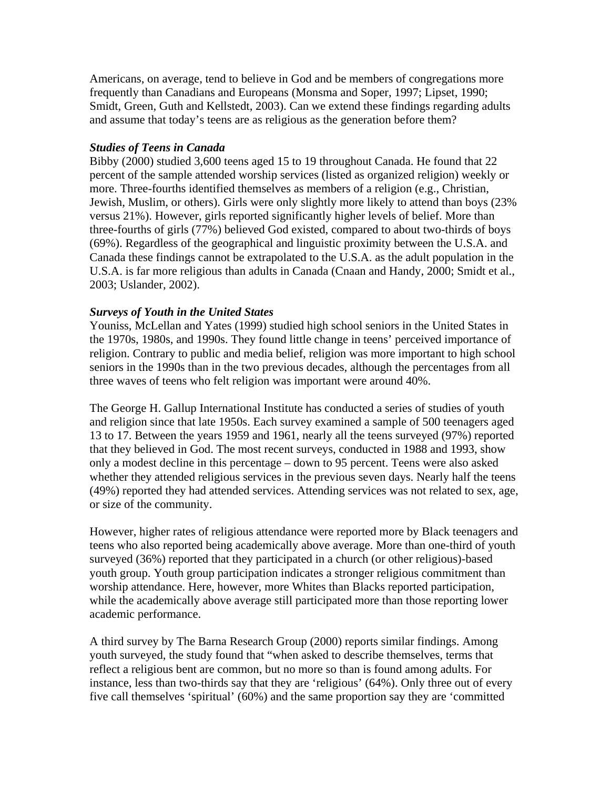Americans, on average, tend to believe in God and be members of congregations more frequently than Canadians and Europeans (Monsma and Soper, 1997; Lipset, 1990; Smidt, Green, Guth and Kellstedt, 2003). Can we extend these findings regarding adults and assume that today's teens are as religious as the generation before them?

## *Studies of Teens in Canada*

Bibby (2000) studied 3,600 teens aged 15 to 19 throughout Canada. He found that 22 percent of the sample attended worship services (listed as organized religion) weekly or more. Three-fourths identified themselves as members of a religion (e.g., Christian, Jewish, Muslim, or others). Girls were only slightly more likely to attend than boys (23% versus 21%). However, girls reported significantly higher levels of belief. More than three-fourths of girls (77%) believed God existed, compared to about two-thirds of boys (69%). Regardless of the geographical and linguistic proximity between the U.S.A. and Canada these findings cannot be extrapolated to the U.S.A. as the adult population in the U.S.A. is far more religious than adults in Canada (Cnaan and Handy, 2000; Smidt et al., 2003; Uslander, 2002).

# *Surveys of Youth in the United States*

Youniss, McLellan and Yates (1999) studied high school seniors in the United States in the 1970s, 1980s, and 1990s. They found little change in teens' perceived importance of religion. Contrary to public and media belief, religion was more important to high school seniors in the 1990s than in the two previous decades, although the percentages from all three waves of teens who felt religion was important were around 40%.

The George H. Gallup International Institute has conducted a series of studies of youth and religion since that late 1950s. Each survey examined a sample of 500 teenagers aged 13 to 17. Between the years 1959 and 1961, nearly all the teens surveyed (97%) reported that they believed in God. The most recent surveys, conducted in 1988 and 1993, show only a modest decline in this percentage – down to 95 percent. Teens were also asked whether they attended religious services in the previous seven days. Nearly half the teens (49%) reported they had attended services. Attending services was not related to sex, age, or size of the community.

However, higher rates of religious attendance were reported more by Black teenagers and teens who also reported being academically above average. More than one-third of youth surveyed (36%) reported that they participated in a church (or other religious)-based youth group. Youth group participation indicates a stronger religious commitment than worship attendance. Here, however, more Whites than Blacks reported participation, while the academically above average still participated more than those reporting lower academic performance.

A third survey by The Barna Research Group (2000) reports similar findings. Among youth surveyed, the study found that "when asked to describe themselves, terms that reflect a religious bent are common, but no more so than is found among adults. For instance, less than two-thirds say that they are 'religious' (64%). Only three out of every five call themselves 'spiritual' (60%) and the same proportion say they are 'committed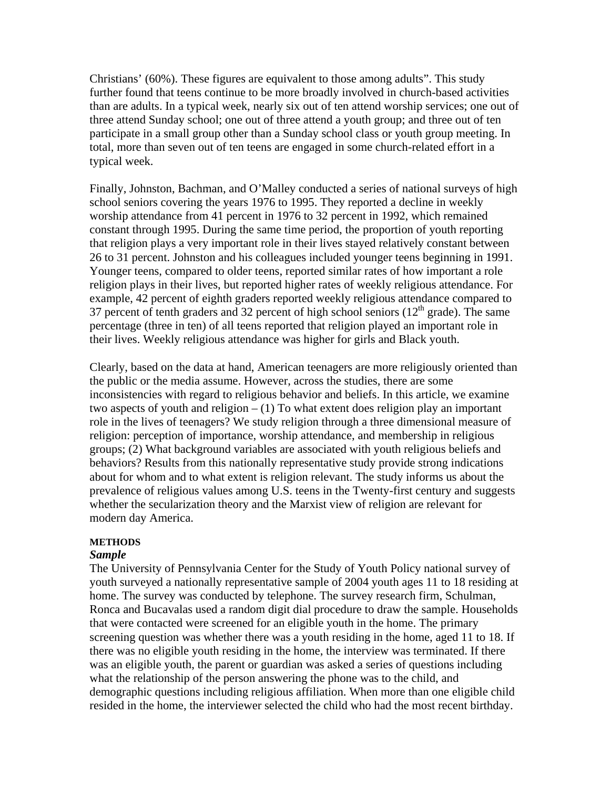Christians' (60%). These figures are equivalent to those among adults". This study further found that teens continue to be more broadly involved in church-based activities than are adults. In a typical week, nearly six out of ten attend worship services; one out of three attend Sunday school; one out of three attend a youth group; and three out of ten participate in a small group other than a Sunday school class or youth group meeting. In total, more than seven out of ten teens are engaged in some church-related effort in a typical week.

Finally, Johnston, Bachman, and O'Malley conducted a series of national surveys of high school seniors covering the years 1976 to 1995. They reported a decline in weekly worship attendance from 41 percent in 1976 to 32 percent in 1992, which remained constant through 1995. During the same time period, the proportion of youth reporting that religion plays a very important role in their lives stayed relatively constant between 26 to 31 percent. Johnston and his colleagues included younger teens beginning in 1991. Younger teens, compared to older teens, reported similar rates of how important a role religion plays in their lives, but reported higher rates of weekly religious attendance. For example, 42 percent of eighth graders reported weekly religious attendance compared to 37 percent of tenth graders and 32 percent of high school seniors ( $12<sup>th</sup>$  grade). The same percentage (three in ten) of all teens reported that religion played an important role in their lives. Weekly religious attendance was higher for girls and Black youth.

Clearly, based on the data at hand, American teenagers are more religiously oriented than the public or the media assume. However, across the studies, there are some inconsistencies with regard to religious behavior and beliefs. In this article, we examine two aspects of youth and religion  $- (1)$  To what extent does religion play an important role in the lives of teenagers? We study religion through a three dimensional measure of religion: perception of importance, worship attendance, and membership in religious groups; (2) What background variables are associated with youth religious beliefs and behaviors? Results from this nationally representative study provide strong indications about for whom and to what extent is religion relevant. The study informs us about the prevalence of religious values among U.S. teens in the Twenty-first century and suggests whether the secularization theory and the Marxist view of religion are relevant for modern day America.

#### **METHODS**

#### *Sample*

The University of Pennsylvania Center for the Study of Youth Policy national survey of youth surveyed a nationally representative sample of 2004 youth ages 11 to 18 residing at home. The survey was conducted by telephone. The survey research firm, Schulman, Ronca and Bucavalas used a random digit dial procedure to draw the sample. Households that were contacted were screened for an eligible youth in the home. The primary screening question was whether there was a youth residing in the home, aged 11 to 18. If there was no eligible youth residing in the home, the interview was terminated. If there was an eligible youth, the parent or guardian was asked a series of questions including what the relationship of the person answering the phone was to the child, and demographic questions including religious affiliation. When more than one eligible child resided in the home, the interviewer selected the child who had the most recent birthday.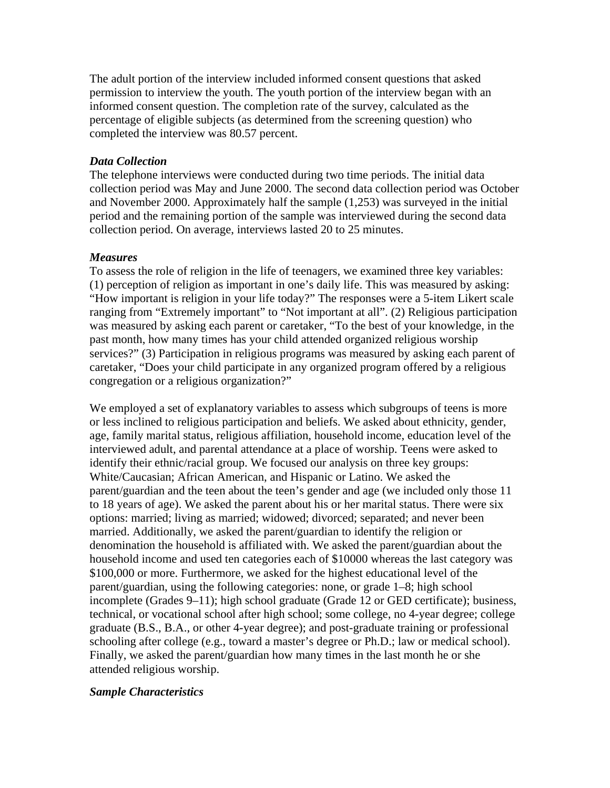The adult portion of the interview included informed consent questions that asked permission to interview the youth. The youth portion of the interview began with an informed consent question. The completion rate of the survey, calculated as the percentage of eligible subjects (as determined from the screening question) who completed the interview was 80.57 percent.

## *Data Collection*

The telephone interviews were conducted during two time periods. The initial data collection period was May and June 2000. The second data collection period was October and November 2000. Approximately half the sample (1,253) was surveyed in the initial period and the remaining portion of the sample was interviewed during the second data collection period. On average, interviews lasted 20 to 25 minutes.

#### *Measures*

To assess the role of religion in the life of teenagers, we examined three key variables: (1) perception of religion as important in one's daily life. This was measured by asking: "How important is religion in your life today?" The responses were a 5-item Likert scale ranging from "Extremely important" to "Not important at all". (2) Religious participation was measured by asking each parent or caretaker, "To the best of your knowledge, in the past month, how many times has your child attended organized religious worship services?" (3) Participation in religious programs was measured by asking each parent of caretaker, "Does your child participate in any organized program offered by a religious congregation or a religious organization?"

We employed a set of explanatory variables to assess which subgroups of teens is more or less inclined to religious participation and beliefs. We asked about ethnicity, gender, age, family marital status, religious affiliation, household income, education level of the interviewed adult, and parental attendance at a place of worship. Teens were asked to identify their ethnic/racial group. We focused our analysis on three key groups: White/Caucasian; African American, and Hispanic or Latino. We asked the parent/guardian and the teen about the teen's gender and age (we included only those 11 to 18 years of age). We asked the parent about his or her marital status. There were six options: married; living as married; widowed; divorced; separated; and never been married. Additionally, we asked the parent/guardian to identify the religion or denomination the household is affiliated with. We asked the parent/guardian about the household income and used ten categories each of \$10000 whereas the last category was \$100,000 or more. Furthermore, we asked for the highest educational level of the parent/guardian, using the following categories: none, or grade 1–8; high school incomplete (Grades 9–11); high school graduate (Grade 12 or GED certificate); business, technical, or vocational school after high school; some college, no 4-year degree; college graduate (B.S., B.A., or other 4-year degree); and post-graduate training or professional schooling after college (e.g., toward a master's degree or Ph.D.; law or medical school). Finally, we asked the parent/guardian how many times in the last month he or she attended religious worship.

# *Sample Characteristics*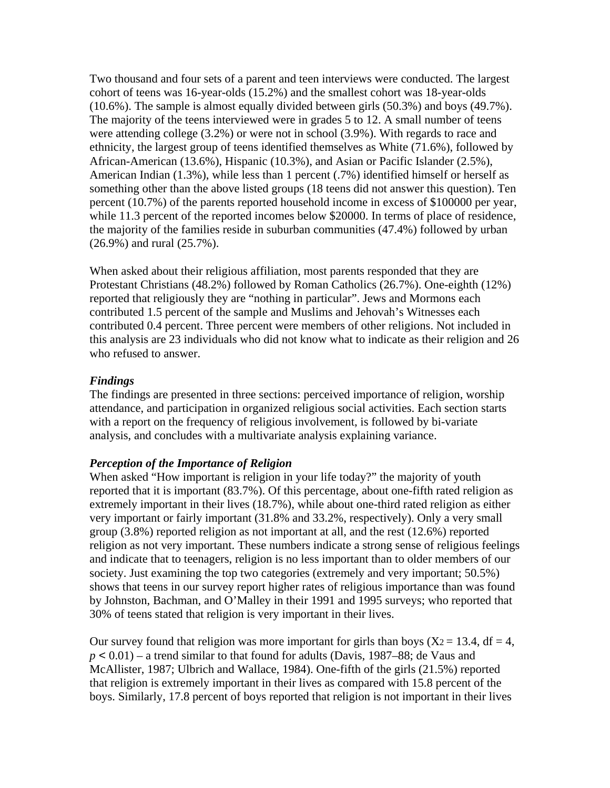Two thousand and four sets of a parent and teen interviews were conducted. The largest cohort of teens was 16-year-olds (15.2%) and the smallest cohort was 18-year-olds (10.6%). The sample is almost equally divided between girls (50.3%) and boys (49.7%). The majority of the teens interviewed were in grades 5 to 12. A small number of teens were attending college (3.2%) or were not in school (3.9%). With regards to race and ethnicity, the largest group of teens identified themselves as White (71.6%), followed by African-American (13.6%), Hispanic (10.3%), and Asian or Pacific Islander (2.5%), American Indian (1.3%), while less than 1 percent (.7%) identified himself or herself as something other than the above listed groups (18 teens did not answer this question). Ten percent (10.7%) of the parents reported household income in excess of \$100000 per year, while 11.3 percent of the reported incomes below \$20000. In terms of place of residence, the majority of the families reside in suburban communities (47.4%) followed by urban (26.9%) and rural (25.7%).

When asked about their religious affiliation, most parents responded that they are Protestant Christians (48.2%) followed by Roman Catholics (26.7%). One-eighth (12%) reported that religiously they are "nothing in particular". Jews and Mormons each contributed 1.5 percent of the sample and Muslims and Jehovah's Witnesses each contributed 0.4 percent. Three percent were members of other religions. Not included in this analysis are 23 individuals who did not know what to indicate as their religion and 26 who refused to answer.

### *Findings*

The findings are presented in three sections: perceived importance of religion, worship attendance, and participation in organized religious social activities. Each section starts with a report on the frequency of religious involvement, is followed by bi-variate analysis, and concludes with a multivariate analysis explaining variance.

#### *Perception of the Importance of Religion*

When asked "How important is religion in your life today?" the majority of youth reported that it is important (83.7%). Of this percentage, about one-fifth rated religion as extremely important in their lives (18.7%), while about one-third rated religion as either very important or fairly important (31.8% and 33.2%, respectively). Only a very small group (3.8%) reported religion as not important at all, and the rest (12.6%) reported religion as not very important. These numbers indicate a strong sense of religious feelings and indicate that to teenagers, religion is no less important than to older members of our society. Just examining the top two categories (extremely and very important; 50.5%) shows that teens in our survey report higher rates of religious importance than was found by Johnston, Bachman, and O'Malley in their 1991 and 1995 surveys; who reported that 30% of teens stated that religion is very important in their lives.

Our survey found that religion was more important for girls than boys ( $X_2 = 13.4$ , df = 4,  $p < 0.01$ ) – a trend similar to that found for adults (Davis, 1987–88; de Vaus and McAllister, 1987; Ulbrich and Wallace, 1984). One-fifth of the girls (21.5%) reported that religion is extremely important in their lives as compared with 15.8 percent of the boys. Similarly, 17.8 percent of boys reported that religion is not important in their lives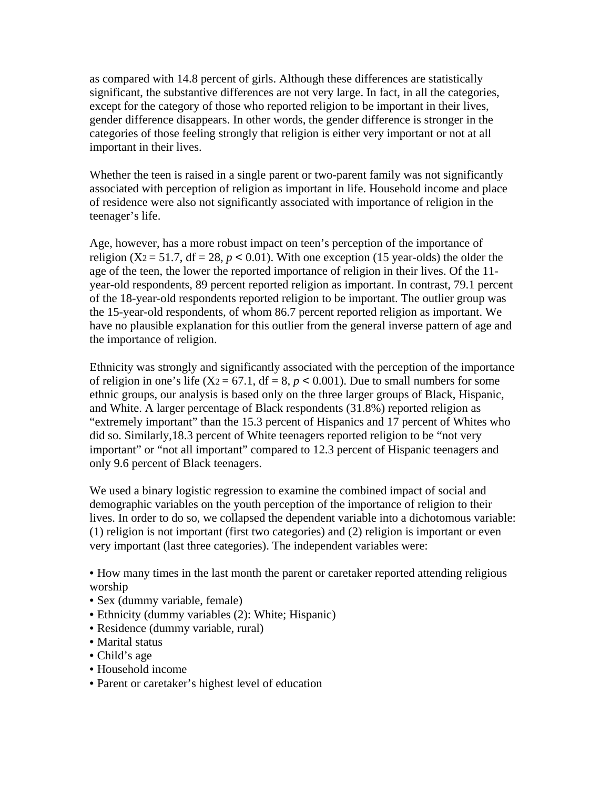as compared with 14.8 percent of girls. Although these differences are statistically significant, the substantive differences are not very large. In fact, in all the categories, except for the category of those who reported religion to be important in their lives, gender difference disappears. In other words, the gender difference is stronger in the categories of those feeling strongly that religion is either very important or not at all important in their lives.

Whether the teen is raised in a single parent or two-parent family was not significantly associated with perception of religion as important in life. Household income and place of residence were also not significantly associated with importance of religion in the teenager's life.

Age, however, has a more robust impact on teen's perception of the importance of religion (X<sub>2</sub> = 51.7, df = 28,  $p < 0.01$ ). With one exception (15 year-olds) the older the age of the teen, the lower the reported importance of religion in their lives. Of the 11 year-old respondents, 89 percent reported religion as important. In contrast, 79.1 percent of the 18-year-old respondents reported religion to be important. The outlier group was the 15-year-old respondents, of whom 86.7 percent reported religion as important. We have no plausible explanation for this outlier from the general inverse pattern of age and the importance of religion.

Ethnicity was strongly and significantly associated with the perception of the importance of religion in one's life  $(X_2 = 67.1, df = 8, p < 0.001)$ . Due to small numbers for some ethnic groups, our analysis is based only on the three larger groups of Black, Hispanic, and White. A larger percentage of Black respondents (31.8%) reported religion as "extremely important" than the 15.3 percent of Hispanics and 17 percent of Whites who did so. Similarly,18.3 percent of White teenagers reported religion to be "not very important" or "not all important" compared to 12.3 percent of Hispanic teenagers and only 9.6 percent of Black teenagers.

We used a binary logistic regression to examine the combined impact of social and demographic variables on the youth perception of the importance of religion to their lives. In order to do so, we collapsed the dependent variable into a dichotomous variable: (1) religion is not important (first two categories) and (2) religion is important or even very important (last three categories). The independent variables were:

• How many times in the last month the parent or caretaker reported attending religious worship

- Sex (dummy variable, female)
- Ethnicity (dummy variables (2): White; Hispanic)
- Residence (dummy variable, rural)
- Marital status
- Child's age
- Household income
- Parent or caretaker's highest level of education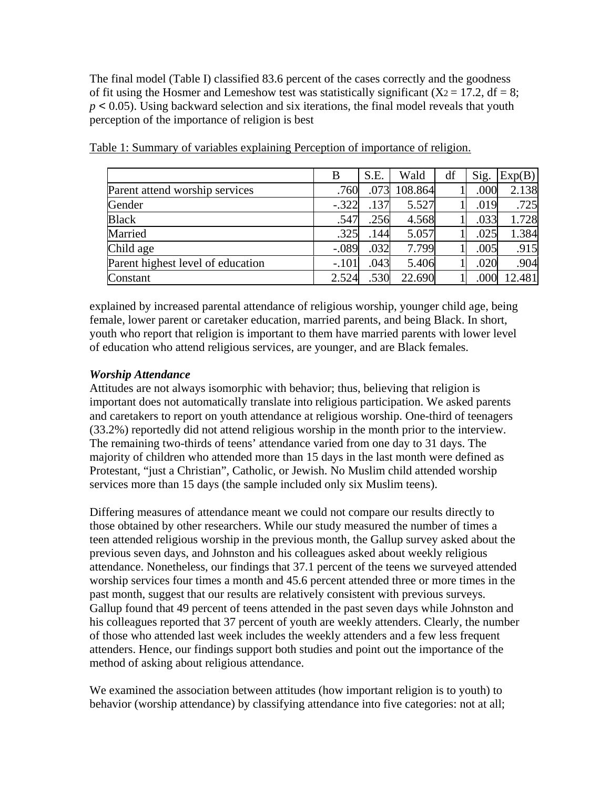The final model (Table I) classified 83.6 percent of the cases correctly and the goodness of fit using the Hosmer and Lemeshow test was statistically significant ( $X_2 = 17.2$ , df = 8;  $p < 0.05$ ). Using backward selection and six iterations, the final model reveals that youth perception of the importance of religion is best

|                                   | B       | S.E. | Wald    | df | Sig. | Exp(B) |
|-----------------------------------|---------|------|---------|----|------|--------|
| Parent attend worship services    | .760    | .073 | 108.864 |    | .000 | 2.138  |
| Gender                            | $-.322$ | .137 | 5.527   |    | .019 | .725   |
| <b>Black</b>                      | .547    | .256 | 4.568   |    | .033 | 1.728  |
| Married                           | .325    | .144 | 5.057   |    | .025 | 1.384  |
| Child age                         | $-.089$ | .032 | 7.799   |    | .005 | .915   |
| Parent highest level of education | $-.101$ | .043 | 5.406   |    | .020 | .904   |
| Constant                          | 2.524   | .530 | 22.690  |    |      | 12.481 |

Table 1: Summary of variables explaining Perception of importance of religion.

explained by increased parental attendance of religious worship, younger child age, being female, lower parent or caretaker education, married parents, and being Black. In short, youth who report that religion is important to them have married parents with lower level of education who attend religious services, are younger, and are Black females.

# *Worship Attendance*

Attitudes are not always isomorphic with behavior; thus, believing that religion is important does not automatically translate into religious participation. We asked parents and caretakers to report on youth attendance at religious worship. One-third of teenagers (33.2%) reportedly did not attend religious worship in the month prior to the interview. The remaining two-thirds of teens' attendance varied from one day to 31 days. The majority of children who attended more than 15 days in the last month were defined as Protestant, "just a Christian", Catholic, or Jewish. No Muslim child attended worship services more than 15 days (the sample included only six Muslim teens).

Differing measures of attendance meant we could not compare our results directly to those obtained by other researchers. While our study measured the number of times a teen attended religious worship in the previous month, the Gallup survey asked about the previous seven days, and Johnston and his colleagues asked about weekly religious attendance. Nonetheless, our findings that 37.1 percent of the teens we surveyed attended worship services four times a month and 45.6 percent attended three or more times in the past month, suggest that our results are relatively consistent with previous surveys. Gallup found that 49 percent of teens attended in the past seven days while Johnston and his colleagues reported that 37 percent of youth are weekly attenders. Clearly, the number of those who attended last week includes the weekly attenders and a few less frequent attenders. Hence, our findings support both studies and point out the importance of the method of asking about religious attendance.

We examined the association between attitudes (how important religion is to youth) to behavior (worship attendance) by classifying attendance into five categories: not at all;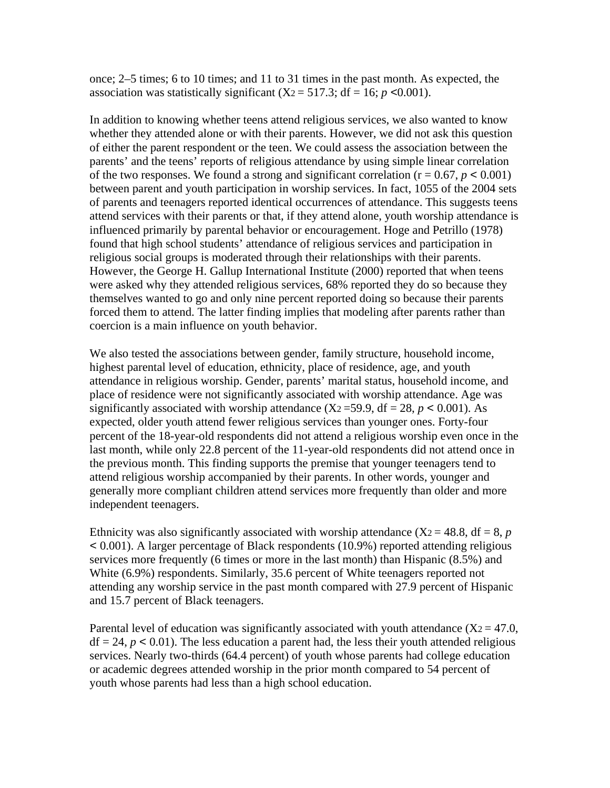once; 2–5 times; 6 to 10 times; and 11 to 31 times in the past month. As expected, the association was statistically significant  $(X_2 = 517.3; df = 16; p < 0.001)$ .

In addition to knowing whether teens attend religious services, we also wanted to know whether they attended alone or with their parents. However, we did not ask this question of either the parent respondent or the teen. We could assess the association between the parents' and the teens' reports of religious attendance by using simple linear correlation of the two responses. We found a strong and significant correlation  $(r = 0.67, p < 0.001)$ between parent and youth participation in worship services. In fact, 1055 of the 2004 sets of parents and teenagers reported identical occurrences of attendance. This suggests teens attend services with their parents or that, if they attend alone, youth worship attendance is influenced primarily by parental behavior or encouragement. Hoge and Petrillo (1978) found that high school students' attendance of religious services and participation in religious social groups is moderated through their relationships with their parents. However, the George H. Gallup International Institute (2000) reported that when teens were asked why they attended religious services, 68% reported they do so because they themselves wanted to go and only nine percent reported doing so because their parents forced them to attend. The latter finding implies that modeling after parents rather than coercion is a main influence on youth behavior.

We also tested the associations between gender, family structure, household income, highest parental level of education, ethnicity, place of residence, age, and youth attendance in religious worship. Gender, parents' marital status, household income, and place of residence were not significantly associated with worship attendance. Age was significantly associated with worship attendance  $(X_2 = 59.9, df = 28, p < 0.001)$ . As expected, older youth attend fewer religious services than younger ones. Forty-four percent of the 18-year-old respondents did not attend a religious worship even once in the last month, while only 22.8 percent of the 11-year-old respondents did not attend once in the previous month. This finding supports the premise that younger teenagers tend to attend religious worship accompanied by their parents. In other words, younger and generally more compliant children attend services more frequently than older and more independent teenagers.

Ethnicity was also significantly associated with worship attendance  $(X_2 = 48.8, df = 8, p$ *<* 0.001). A larger percentage of Black respondents (10.9%) reported attending religious services more frequently (6 times or more in the last month) than Hispanic (8.5%) and White (6.9%) respondents. Similarly, 35.6 percent of White teenagers reported not attending any worship service in the past month compared with 27.9 percent of Hispanic and 15.7 percent of Black teenagers.

Parental level of education was significantly associated with youth attendance  $(X_2 = 47.0,$  $df = 24$ ,  $p < 0.01$ ). The less education a parent had, the less their youth attended religious services. Nearly two-thirds (64.4 percent) of youth whose parents had college education or academic degrees attended worship in the prior month compared to 54 percent of youth whose parents had less than a high school education.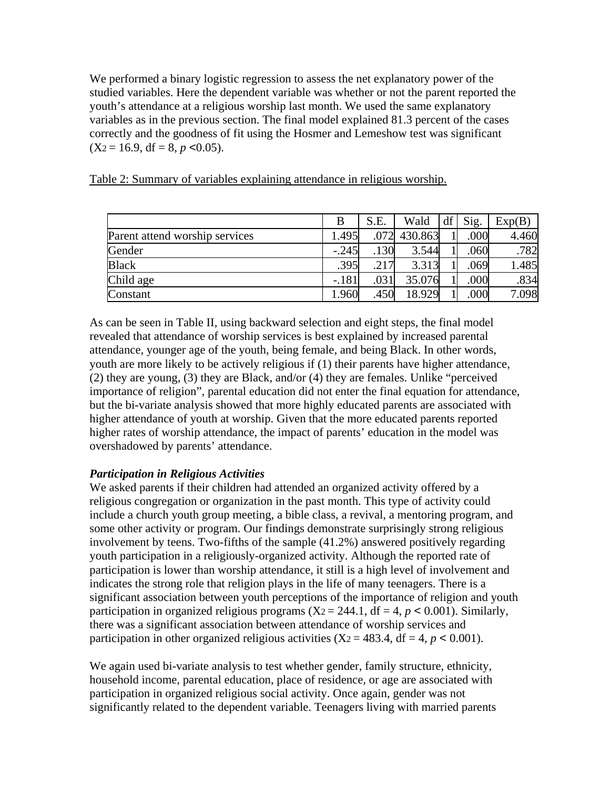We performed a binary logistic regression to assess the net explanatory power of the studied variables. Here the dependent variable was whether or not the parent reported the youth's attendance at a religious worship last month. We used the same explanatory variables as in the previous section. The final model explained 81.3 percent of the cases correctly and the goodness of fit using the Hosmer and Lemeshow test was significant  $(X_2 = 16.9, df = 8, p < 0.05)$ .

|                                | B       | S.E. | Wald    | Sig. | Exp(B) |
|--------------------------------|---------|------|---------|------|--------|
| Parent attend worship services | 1.495   | .072 | 430.863 | .000 | 4.460  |
| Gender                         | $-.245$ | .130 | 3.544   | .060 | .782   |
| <b>Black</b>                   | .395    | .217 | 3.313   | .069 | 1.485  |
| Child age                      | $-.181$ | .031 | 35.076  | .000 | .834   |
| Constant                       | 1.960   | .450 | 18.929  | .000 | 7.098  |

Table 2: Summary of variables explaining attendance in religious worship.

As can be seen in Table II, using backward selection and eight steps, the final model revealed that attendance of worship services is best explained by increased parental attendance, younger age of the youth, being female, and being Black. In other words, youth are more likely to be actively religious if (1) their parents have higher attendance, (2) they are young, (3) they are Black, and/or (4) they are females. Unlike "perceived importance of religion", parental education did not enter the final equation for attendance, but the bi-variate analysis showed that more highly educated parents are associated with higher attendance of youth at worship. Given that the more educated parents reported higher rates of worship attendance, the impact of parents' education in the model was overshadowed by parents' attendance.

# *Participation in Religious Activities*

We asked parents if their children had attended an organized activity offered by a religious congregation or organization in the past month. This type of activity could include a church youth group meeting, a bible class, a revival, a mentoring program, and some other activity or program. Our findings demonstrate surprisingly strong religious involvement by teens. Two-fifths of the sample (41.2%) answered positively regarding youth participation in a religiously-organized activity. Although the reported rate of participation is lower than worship attendance, it still is a high level of involvement and indicates the strong role that religion plays in the life of many teenagers. There is a significant association between youth perceptions of the importance of religion and youth participation in organized religious programs  $(X_2 = 244.1, df = 4, p < 0.001)$ . Similarly, there was a significant association between attendance of worship services and participation in other organized religious activities  $(X_2 = 483.4, df = 4, p < 0.001)$ .

We again used bi-variate analysis to test whether gender, family structure, ethnicity, household income, parental education, place of residence, or age are associated with participation in organized religious social activity. Once again, gender was not significantly related to the dependent variable. Teenagers living with married parents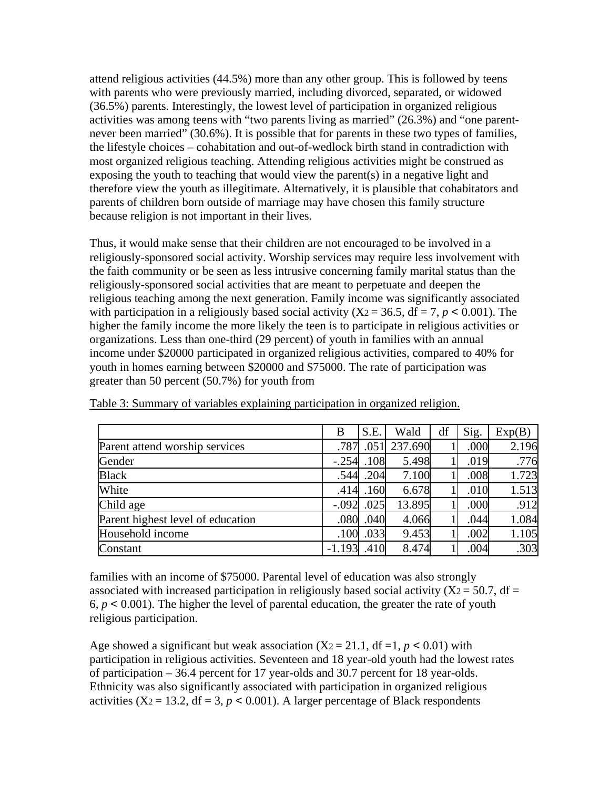attend religious activities (44.5%) more than any other group. This is followed by teens with parents who were previously married, including divorced, separated, or widowed (36.5%) parents. Interestingly, the lowest level of participation in organized religious activities was among teens with "two parents living as married" (26.3%) and "one parentnever been married" (30.6%). It is possible that for parents in these two types of families, the lifestyle choices – cohabitation and out-of-wedlock birth stand in contradiction with most organized religious teaching. Attending religious activities might be construed as exposing the youth to teaching that would view the parent(s) in a negative light and therefore view the youth as illegitimate. Alternatively, it is plausible that cohabitators and parents of children born outside of marriage may have chosen this family structure because religion is not important in their lives.

Thus, it would make sense that their children are not encouraged to be involved in a religiously-sponsored social activity. Worship services may require less involvement with the faith community or be seen as less intrusive concerning family marital status than the religiously-sponsored social activities that are meant to perpetuate and deepen the religious teaching among the next generation. Family income was significantly associated with participation in a religiously based social activity  $(X_2 = 36.5, df = 7, p < 0.001)$ . The higher the family income the more likely the teen is to participate in religious activities or organizations. Less than one-third (29 percent) of youth in families with an annual income under \$20000 participated in organized religious activities, compared to 40% for youth in homes earning between \$20000 and \$75000. The rate of participation was greater than 50 percent (50.7%) for youth from

|                                   | B        | S.E. | Wald    | df | Sig. | Exp(B) |
|-----------------------------------|----------|------|---------|----|------|--------|
| Parent attend worship services    | .787     | .051 | 237.690 |    | .000 | 2.196  |
| Gender                            | $-.254$  | .108 | 5.498   |    | .019 | .776   |
| <b>Black</b>                      | .544     | .204 | 7.100   |    | .008 | 1.723  |
| White                             | .414     | .160 | 6.678   |    | .010 | 1.513  |
| Child age                         | $-.092$  | .025 | 13.895  |    | .000 | .912   |
| Parent highest level of education | .080     | .040 | 4.066   |    | .044 | 1.084  |
| Household income                  | .100     | .033 | 9.453   |    | .002 | 1.105  |
| Constant                          | $-1.193$ | .410 | 8.474   |    | .004 | .303   |

Table 3: Summary of variables explaining participation in organized religion.

families with an income of \$75000. Parental level of education was also strongly associated with increased participation in religiously based social activity ( $X_2 = 50.7$ , df =  $6, p < 0.001$ ). The higher the level of parental education, the greater the rate of youth religious participation.

Age showed a significant but weak association  $(X_2 = 21.1, df = 1, p < 0.01)$  with participation in religious activities. Seventeen and 18 year-old youth had the lowest rates of participation – 36.4 percent for 17 year-olds and 30.7 percent for 18 year-olds. Ethnicity was also significantly associated with participation in organized religious activities (X<sub>2</sub> = 13.2, df = 3,  $p < 0.001$ ). A larger percentage of Black respondents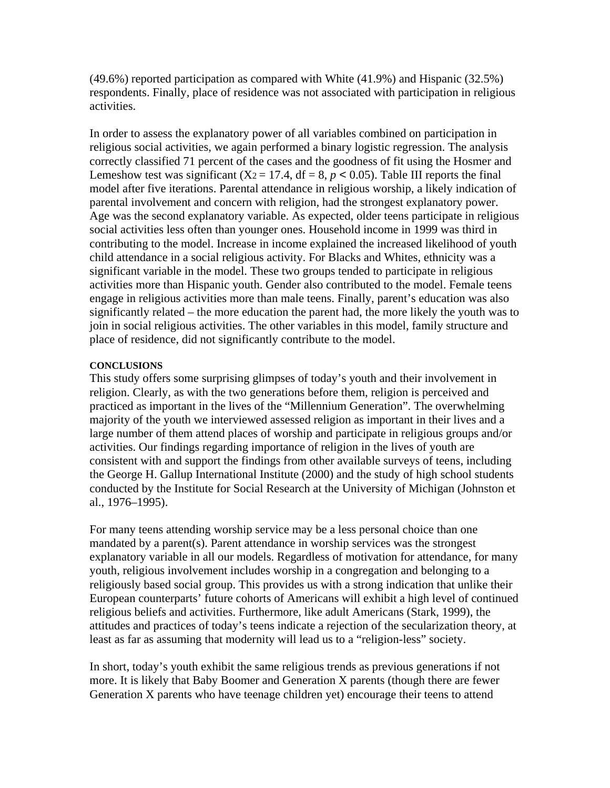(49.6%) reported participation as compared with White (41.9%) and Hispanic (32.5%) respondents. Finally, place of residence was not associated with participation in religious activities.

In order to assess the explanatory power of all variables combined on participation in religious social activities, we again performed a binary logistic regression. The analysis correctly classified 71 percent of the cases and the goodness of fit using the Hosmer and Lemeshow test was significant (X<sub>2</sub> = 17.4, df = 8,  $p < 0.05$ ). Table III reports the final model after five iterations. Parental attendance in religious worship, a likely indication of parental involvement and concern with religion, had the strongest explanatory power. Age was the second explanatory variable. As expected, older teens participate in religious social activities less often than younger ones. Household income in 1999 was third in contributing to the model. Increase in income explained the increased likelihood of youth child attendance in a social religious activity. For Blacks and Whites, ethnicity was a significant variable in the model. These two groups tended to participate in religious activities more than Hispanic youth. Gender also contributed to the model. Female teens engage in religious activities more than male teens. Finally, parent's education was also significantly related – the more education the parent had, the more likely the youth was to join in social religious activities. The other variables in this model, family structure and place of residence, did not significantly contribute to the model.

#### **CONCLUSIONS**

This study offers some surprising glimpses of today's youth and their involvement in religion. Clearly, as with the two generations before them, religion is perceived and practiced as important in the lives of the "Millennium Generation". The overwhelming majority of the youth we interviewed assessed religion as important in their lives and a large number of them attend places of worship and participate in religious groups and/or activities. Our findings regarding importance of religion in the lives of youth are consistent with and support the findings from other available surveys of teens, including the George H. Gallup International Institute (2000) and the study of high school students conducted by the Institute for Social Research at the University of Michigan (Johnston et al., 1976–1995).

For many teens attending worship service may be a less personal choice than one mandated by a parent(s). Parent attendance in worship services was the strongest explanatory variable in all our models. Regardless of motivation for attendance, for many youth, religious involvement includes worship in a congregation and belonging to a religiously based social group. This provides us with a strong indication that unlike their European counterparts' future cohorts of Americans will exhibit a high level of continued religious beliefs and activities. Furthermore, like adult Americans (Stark, 1999), the attitudes and practices of today's teens indicate a rejection of the secularization theory, at least as far as assuming that modernity will lead us to a "religion-less" society.

In short, today's youth exhibit the same religious trends as previous generations if not more. It is likely that Baby Boomer and Generation X parents (though there are fewer Generation X parents who have teenage children yet) encourage their teens to attend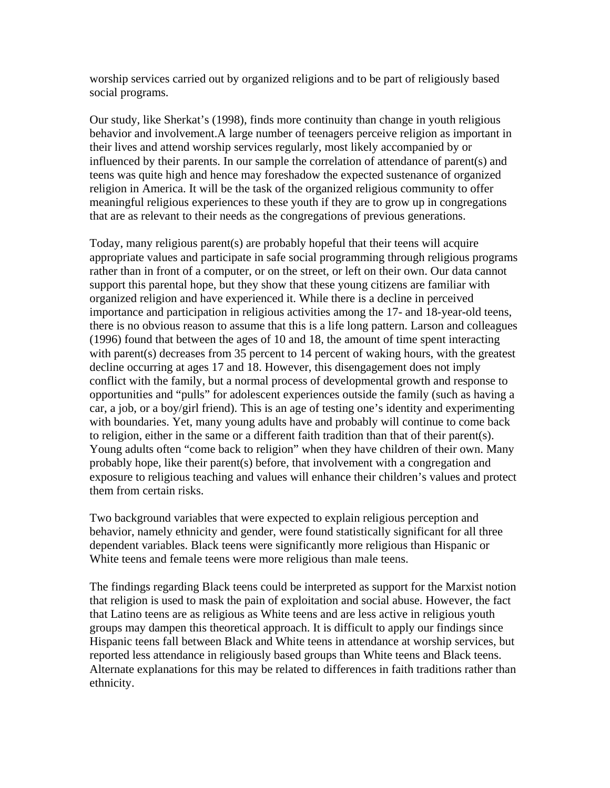worship services carried out by organized religions and to be part of religiously based social programs.

Our study, like Sherkat's (1998), finds more continuity than change in youth religious behavior and involvement.A large number of teenagers perceive religion as important in their lives and attend worship services regularly, most likely accompanied by or influenced by their parents. In our sample the correlation of attendance of parent(s) and teens was quite high and hence may foreshadow the expected sustenance of organized religion in America. It will be the task of the organized religious community to offer meaningful religious experiences to these youth if they are to grow up in congregations that are as relevant to their needs as the congregations of previous generations.

Today, many religious parent(s) are probably hopeful that their teens will acquire appropriate values and participate in safe social programming through religious programs rather than in front of a computer, or on the street, or left on their own. Our data cannot support this parental hope, but they show that these young citizens are familiar with organized religion and have experienced it. While there is a decline in perceived importance and participation in religious activities among the 17- and 18-year-old teens, there is no obvious reason to assume that this is a life long pattern. Larson and colleagues (1996) found that between the ages of 10 and 18, the amount of time spent interacting with parent(s) decreases from 35 percent to 14 percent of waking hours, with the greatest decline occurring at ages 17 and 18. However, this disengagement does not imply conflict with the family, but a normal process of developmental growth and response to opportunities and "pulls" for adolescent experiences outside the family (such as having a car, a job, or a boy/girl friend). This is an age of testing one's identity and experimenting with boundaries. Yet, many young adults have and probably will continue to come back to religion, either in the same or a different faith tradition than that of their parent(s). Young adults often "come back to religion" when they have children of their own. Many probably hope, like their parent(s) before, that involvement with a congregation and exposure to religious teaching and values will enhance their children's values and protect them from certain risks.

Two background variables that were expected to explain religious perception and behavior, namely ethnicity and gender, were found statistically significant for all three dependent variables. Black teens were significantly more religious than Hispanic or White teens and female teens were more religious than male teens.

The findings regarding Black teens could be interpreted as support for the Marxist notion that religion is used to mask the pain of exploitation and social abuse. However, the fact that Latino teens are as religious as White teens and are less active in religious youth groups may dampen this theoretical approach. It is difficult to apply our findings since Hispanic teens fall between Black and White teens in attendance at worship services, but reported less attendance in religiously based groups than White teens and Black teens. Alternate explanations for this may be related to differences in faith traditions rather than ethnicity.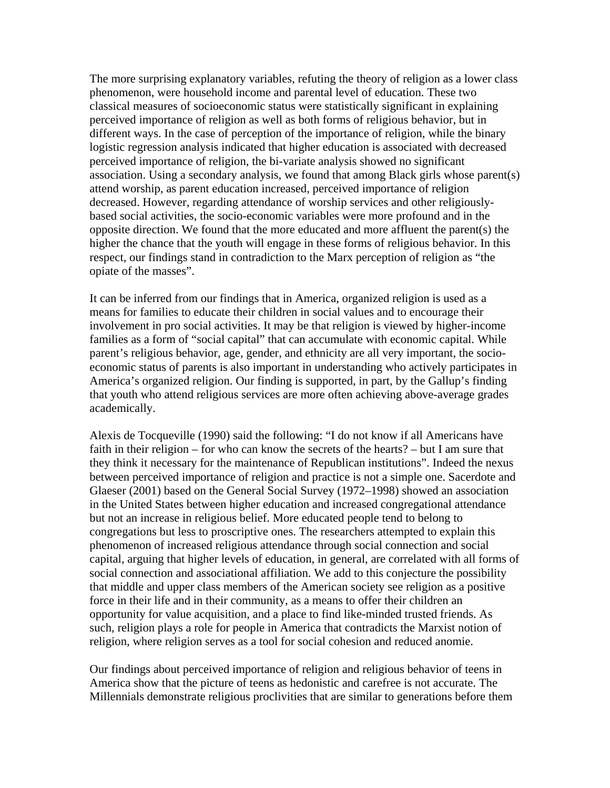The more surprising explanatory variables, refuting the theory of religion as a lower class phenomenon, were household income and parental level of education. These two classical measures of socioeconomic status were statistically significant in explaining perceived importance of religion as well as both forms of religious behavior, but in different ways. In the case of perception of the importance of religion, while the binary logistic regression analysis indicated that higher education is associated with decreased perceived importance of religion, the bi-variate analysis showed no significant association. Using a secondary analysis, we found that among Black girls whose parent(s) attend worship, as parent education increased, perceived importance of religion decreased. However, regarding attendance of worship services and other religiouslybased social activities, the socio-economic variables were more profound and in the opposite direction. We found that the more educated and more affluent the parent(s) the higher the chance that the youth will engage in these forms of religious behavior. In this respect, our findings stand in contradiction to the Marx perception of religion as "the opiate of the masses".

It can be inferred from our findings that in America, organized religion is used as a means for families to educate their children in social values and to encourage their involvement in pro social activities. It may be that religion is viewed by higher-income families as a form of "social capital" that can accumulate with economic capital. While parent's religious behavior, age, gender, and ethnicity are all very important, the socioeconomic status of parents is also important in understanding who actively participates in America's organized religion. Our finding is supported, in part, by the Gallup's finding that youth who attend religious services are more often achieving above-average grades academically.

Alexis de Tocqueville (1990) said the following: "I do not know if all Americans have faith in their religion – for who can know the secrets of the hearts? – but I am sure that they think it necessary for the maintenance of Republican institutions". Indeed the nexus between perceived importance of religion and practice is not a simple one. Sacerdote and Glaeser (2001) based on the General Social Survey (1972–1998) showed an association in the United States between higher education and increased congregational attendance but not an increase in religious belief. More educated people tend to belong to congregations but less to proscriptive ones. The researchers attempted to explain this phenomenon of increased religious attendance through social connection and social capital, arguing that higher levels of education, in general, are correlated with all forms of social connection and associational affiliation. We add to this conjecture the possibility that middle and upper class members of the American society see religion as a positive force in their life and in their community, as a means to offer their children an opportunity for value acquisition, and a place to find like-minded trusted friends. As such, religion plays a role for people in America that contradicts the Marxist notion of religion, where religion serves as a tool for social cohesion and reduced anomie.

Our findings about perceived importance of religion and religious behavior of teens in America show that the picture of teens as hedonistic and carefree is not accurate. The Millennials demonstrate religious proclivities that are similar to generations before them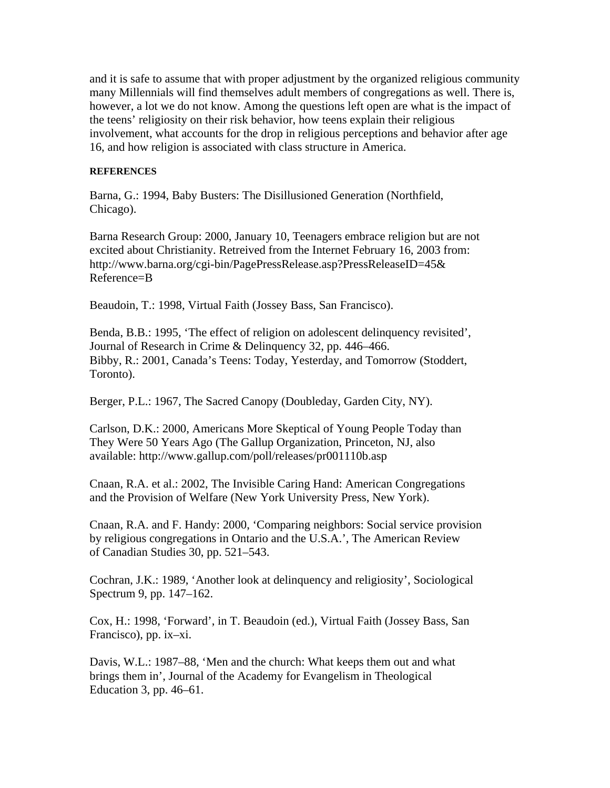and it is safe to assume that with proper adjustment by the organized religious community many Millennials will find themselves adult members of congregations as well. There is, however, a lot we do not know. Among the questions left open are what is the impact of the teens' religiosity on their risk behavior, how teens explain their religious involvement, what accounts for the drop in religious perceptions and behavior after age 16, and how religion is associated with class structure in America.

#### **REFERENCES**

Barna, G.: 1994, Baby Busters: The Disillusioned Generation (Northfield, Chicago).

Barna Research Group: 2000, January 10, Teenagers embrace religion but are not excited about Christianity. Retreived from the Internet February 16, 2003 from: http://www.barna.org/cgi-bin/PagePressRelease.asp?PressReleaseID=45& Reference=B

Beaudoin, T.: 1998, Virtual Faith (Jossey Bass, San Francisco).

Benda, B.B.: 1995, 'The effect of religion on adolescent delinquency revisited', Journal of Research in Crime & Delinquency 32, pp. 446–466. Bibby, R.: 2001, Canada's Teens: Today, Yesterday, and Tomorrow (Stoddert, Toronto).

Berger, P.L.: 1967, The Sacred Canopy (Doubleday, Garden City, NY).

Carlson, D.K.: 2000, Americans More Skeptical of Young People Today than They Were 50 Years Ago (The Gallup Organization, Princeton, NJ, also available: http://www.gallup.com/poll/releases/pr001110b.asp

Cnaan, R.A. et al.: 2002, The Invisible Caring Hand: American Congregations and the Provision of Welfare (New York University Press, New York).

Cnaan, R.A. and F. Handy: 2000, 'Comparing neighbors: Social service provision by religious congregations in Ontario and the U.S.A.', The American Review of Canadian Studies 30, pp. 521–543.

Cochran, J.K.: 1989, 'Another look at delinquency and religiosity', Sociological Spectrum 9, pp. 147–162.

Cox, H.: 1998, 'Forward', in T. Beaudoin (ed.), Virtual Faith (Jossey Bass, San Francisco), pp. ix–xi.

Davis, W.L.: 1987–88, 'Men and the church: What keeps them out and what brings them in', Journal of the Academy for Evangelism in Theological Education 3, pp. 46–61.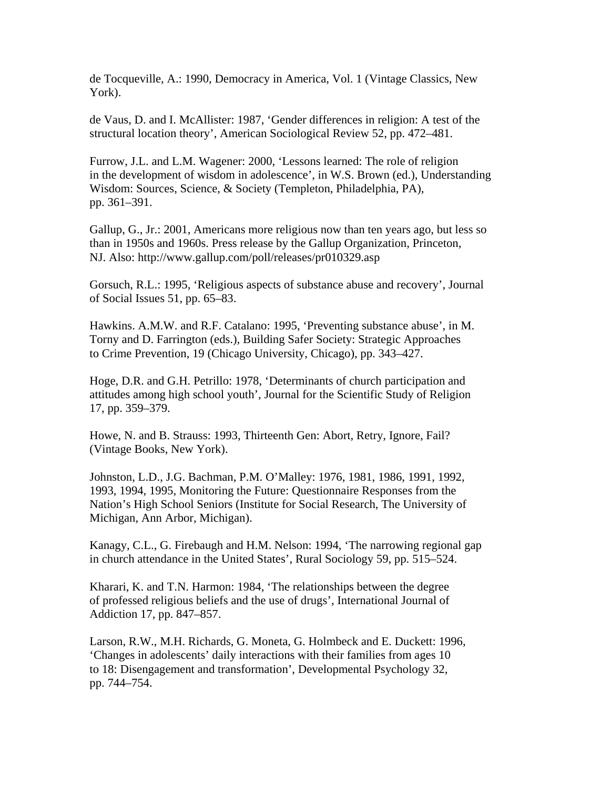de Tocqueville, A.: 1990, Democracy in America, Vol. 1 (Vintage Classics, New York).

de Vaus, D. and I. McAllister: 1987, 'Gender differences in religion: A test of the structural location theory', American Sociological Review 52, pp. 472–481.

Furrow, J.L. and L.M. Wagener: 2000, 'Lessons learned: The role of religion in the development of wisdom in adolescence', in W.S. Brown (ed.), Understanding Wisdom: Sources, Science, & Society (Templeton, Philadelphia, PA), pp. 361–391.

Gallup, G., Jr.: 2001, Americans more religious now than ten years ago, but less so than in 1950s and 1960s. Press release by the Gallup Organization, Princeton, NJ. Also: http://www.gallup.com/poll/releases/pr010329.asp

Gorsuch, R.L.: 1995, 'Religious aspects of substance abuse and recovery', Journal of Social Issues 51, pp. 65–83.

Hawkins. A.M.W. and R.F. Catalano: 1995, 'Preventing substance abuse', in M. Torny and D. Farrington (eds.), Building Safer Society: Strategic Approaches to Crime Prevention, 19 (Chicago University, Chicago), pp. 343–427.

Hoge, D.R. and G.H. Petrillo: 1978, 'Determinants of church participation and attitudes among high school youth', Journal for the Scientific Study of Religion 17, pp. 359–379.

Howe, N. and B. Strauss: 1993, Thirteenth Gen: Abort, Retry, Ignore, Fail? (Vintage Books, New York).

Johnston, L.D., J.G. Bachman, P.M. O'Malley: 1976, 1981, 1986, 1991, 1992, 1993, 1994, 1995, Monitoring the Future: Questionnaire Responses from the Nation's High School Seniors (Institute for Social Research, The University of Michigan, Ann Arbor, Michigan).

Kanagy, C.L., G. Firebaugh and H.M. Nelson: 1994, 'The narrowing regional gap in church attendance in the United States', Rural Sociology 59, pp. 515–524.

Kharari, K. and T.N. Harmon: 1984, 'The relationships between the degree of professed religious beliefs and the use of drugs', International Journal of Addiction 17, pp. 847–857.

Larson, R.W., M.H. Richards, G. Moneta, G. Holmbeck and E. Duckett: 1996, 'Changes in adolescents' daily interactions with their families from ages 10 to 18: Disengagement and transformation', Developmental Psychology 32, pp. 744–754.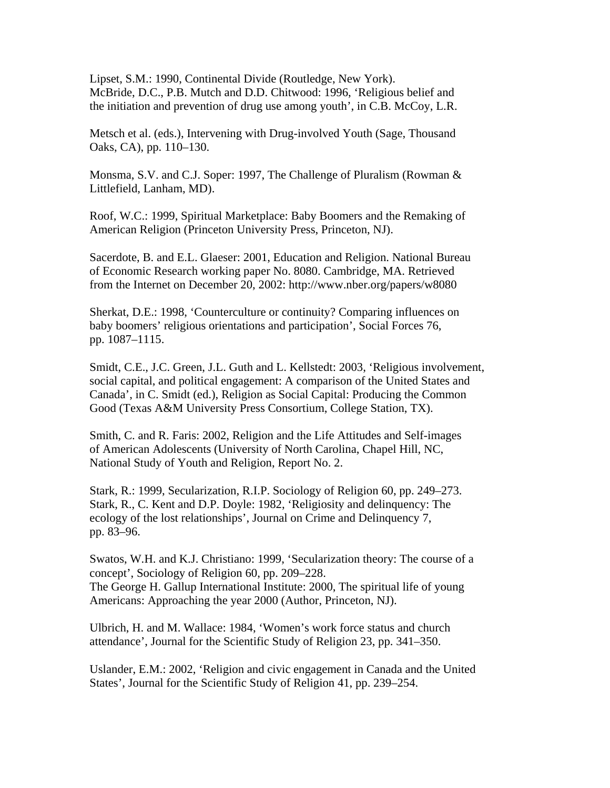Lipset, S.M.: 1990, Continental Divide (Routledge, New York). McBride, D.C., P.B. Mutch and D.D. Chitwood: 1996, 'Religious belief and the initiation and prevention of drug use among youth', in C.B. McCoy, L.R.

Metsch et al. (eds.), Intervening with Drug-involved Youth (Sage, Thousand Oaks, CA), pp. 110–130.

Monsma, S.V. and C.J. Soper: 1997, The Challenge of Pluralism (Rowman & Littlefield, Lanham, MD).

Roof, W.C.: 1999, Spiritual Marketplace: Baby Boomers and the Remaking of American Religion (Princeton University Press, Princeton, NJ).

Sacerdote, B. and E.L. Glaeser: 2001, Education and Religion. National Bureau of Economic Research working paper No. 8080. Cambridge, MA. Retrieved from the Internet on December 20, 2002: http://www.nber.org/papers/w8080

Sherkat, D.E.: 1998, 'Counterculture or continuity? Comparing influences on baby boomers' religious orientations and participation', Social Forces 76, pp. 1087–1115.

Smidt, C.E., J.C. Green, J.L. Guth and L. Kellstedt: 2003, 'Religious involvement, social capital, and political engagement: A comparison of the United States and Canada', in C. Smidt (ed.), Religion as Social Capital: Producing the Common Good (Texas A&M University Press Consortium, College Station, TX).

Smith, C. and R. Faris: 2002, Religion and the Life Attitudes and Self-images of American Adolescents (University of North Carolina, Chapel Hill, NC, National Study of Youth and Religion, Report No. 2.

Stark, R.: 1999, Secularization, R.I.P. Sociology of Religion 60, pp. 249–273. Stark, R., C. Kent and D.P. Doyle: 1982, 'Religiosity and delinquency: The ecology of the lost relationships', Journal on Crime and Delinquency 7, pp. 83–96.

Swatos, W.H. and K.J. Christiano: 1999, 'Secularization theory: The course of a concept', Sociology of Religion 60, pp. 209–228. The George H. Gallup International Institute: 2000, The spiritual life of young Americans: Approaching the year 2000 (Author, Princeton, NJ).

Ulbrich, H. and M. Wallace: 1984, 'Women's work force status and church attendance', Journal for the Scientific Study of Religion 23, pp. 341–350.

Uslander, E.M.: 2002, 'Religion and civic engagement in Canada and the United States', Journal for the Scientific Study of Religion 41, pp. 239–254.